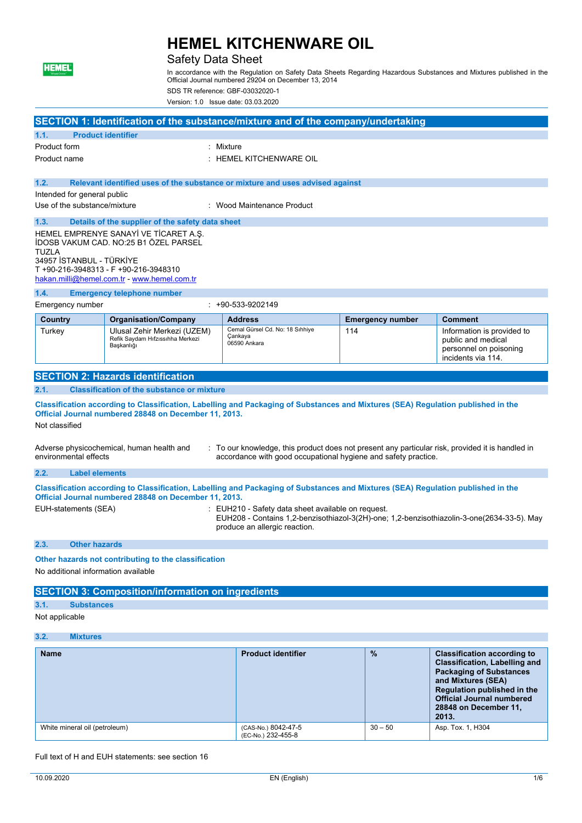

## Safety Data Sheet

In accordance with the Regulation on Safety Data Sheets Regarding Hazardous Substances and Mixtures published in the Official Journal numbered 29204 on December 13, 2014

SDS TR reference: GBF-03032020-1

Version: 1.0 Issue date: 03.03.2020

|                                                                                                                                                                                                                                          |                                                                                                                                                                                                             |                                                                                                                                                                        | SECTION 1: Identification of the substance/mixture and of the company/undertaking |                         |                                                                                                  |
|------------------------------------------------------------------------------------------------------------------------------------------------------------------------------------------------------------------------------------------|-------------------------------------------------------------------------------------------------------------------------------------------------------------------------------------------------------------|------------------------------------------------------------------------------------------------------------------------------------------------------------------------|-----------------------------------------------------------------------------------|-------------------------|--------------------------------------------------------------------------------------------------|
| 1.1.                                                                                                                                                                                                                                     | <b>Product identifier</b>                                                                                                                                                                                   |                                                                                                                                                                        |                                                                                   |                         |                                                                                                  |
| Product form<br>Product name                                                                                                                                                                                                             |                                                                                                                                                                                                             |                                                                                                                                                                        | : Mixture<br>$:$ HEMEL KITCHENWARE OIL                                            |                         |                                                                                                  |
|                                                                                                                                                                                                                                          |                                                                                                                                                                                                             |                                                                                                                                                                        |                                                                                   |                         |                                                                                                  |
| 1.2.                                                                                                                                                                                                                                     |                                                                                                                                                                                                             |                                                                                                                                                                        | Relevant identified uses of the substance or mixture and uses advised against     |                         |                                                                                                  |
|                                                                                                                                                                                                                                          | Intended for general public                                                                                                                                                                                 |                                                                                                                                                                        |                                                                                   |                         |                                                                                                  |
|                                                                                                                                                                                                                                          | Use of the substance/mixture                                                                                                                                                                                |                                                                                                                                                                        | : Wood Maintenance Product                                                        |                         |                                                                                                  |
| 1.3.                                                                                                                                                                                                                                     |                                                                                                                                                                                                             | Details of the supplier of the safety data sheet                                                                                                                       |                                                                                   |                         |                                                                                                  |
| TUZLA                                                                                                                                                                                                                                    | 34957 İSTANBUL - TÜRKİYE                                                                                                                                                                                    | HEMEL EMPRENYE SANAYİ VE TİCARET A.Ş.<br>İDOSB VAKUM CAD. NO:25 B1 ÖZEL PARSEL<br>T +90-216-3948313 - F +90-216-3948310<br>hakan.milli@hemel.com.tr - www.hemel.com.tr |                                                                                   |                         |                                                                                                  |
| 1.4.                                                                                                                                                                                                                                     |                                                                                                                                                                                                             | <b>Emergency telephone number</b>                                                                                                                                      |                                                                                   |                         |                                                                                                  |
|                                                                                                                                                                                                                                          | Emergency number                                                                                                                                                                                            |                                                                                                                                                                        | $: +90 - 533 - 9202149$                                                           |                         |                                                                                                  |
| Country                                                                                                                                                                                                                                  |                                                                                                                                                                                                             | <b>Organisation/Company</b>                                                                                                                                            | <b>Address</b>                                                                    | <b>Emergency number</b> | <b>Comment</b>                                                                                   |
| Turkey                                                                                                                                                                                                                                   |                                                                                                                                                                                                             | Ulusal Zehir Merkezi (UZEM)<br>Refik Saydam Hıfzıssıhha Merkezi<br>Başkanlığı                                                                                          | Cemal Gürsel Cd. No: 18 Sıhhiye<br>Cankaya<br>06590 Ankara                        | 114                     | Information is provided to<br>public and medical<br>personnel on poisoning<br>incidents via 114. |
|                                                                                                                                                                                                                                          |                                                                                                                                                                                                             | <b>SECTION 2: Hazards identification</b>                                                                                                                               |                                                                                   |                         |                                                                                                  |
| 2.1.                                                                                                                                                                                                                                     |                                                                                                                                                                                                             | <b>Classification of the substance or mixture</b>                                                                                                                      |                                                                                   |                         |                                                                                                  |
|                                                                                                                                                                                                                                          | Classification according to Classification, Labelling and Packaging of Substances and Mixtures (SEA) Regulation published in the<br>Official Journal numbered 28848 on December 11, 2013.<br>Not classified |                                                                                                                                                                        |                                                                                   |                         |                                                                                                  |
| : To our knowledge, this product does not present any particular risk, provided it is handled in<br>Adverse physicochemical, human health and<br>environmental effects<br>accordance with good occupational hygiene and safety practice. |                                                                                                                                                                                                             |                                                                                                                                                                        |                                                                                   |                         |                                                                                                  |
| 2.2.                                                                                                                                                                                                                                     | <b>Label elements</b>                                                                                                                                                                                       |                                                                                                                                                                        |                                                                                   |                         |                                                                                                  |
| Classification according to Classification, Labelling and Packaging of Substances and Mixtures (SEA) Regulation published in the<br>Official Journal numbered 28848 on December 11, 2013.                                                |                                                                                                                                                                                                             |                                                                                                                                                                        |                                                                                   |                         |                                                                                                  |
|                                                                                                                                                                                                                                          | EUH-statements (SEA)<br>: EUH210 - Safety data sheet available on request.<br>EUH208 - Contains 1,2-benzisothiazol-3(2H)-one; 1,2-benzisothiazolin-3-one(2634-33-5). May<br>produce an allergic reaction.   |                                                                                                                                                                        |                                                                                   |                         |                                                                                                  |
| 2.3.                                                                                                                                                                                                                                     | <b>Other hazards</b>                                                                                                                                                                                        |                                                                                                                                                                        |                                                                                   |                         |                                                                                                  |
|                                                                                                                                                                                                                                          | Other hazards not contributing to the classification                                                                                                                                                        |                                                                                                                                                                        |                                                                                   |                         |                                                                                                  |
|                                                                                                                                                                                                                                          | No additional information available                                                                                                                                                                         |                                                                                                                                                                        |                                                                                   |                         |                                                                                                  |
|                                                                                                                                                                                                                                          |                                                                                                                                                                                                             | <b>SECTION 3: Composition/information on ingredients</b>                                                                                                               |                                                                                   |                         |                                                                                                  |
| 3.1.                                                                                                                                                                                                                                     | <b>Substances</b>                                                                                                                                                                                           |                                                                                                                                                                        |                                                                                   |                         |                                                                                                  |
|                                                                                                                                                                                                                                          | Not applicable                                                                                                                                                                                              |                                                                                                                                                                        |                                                                                   |                         |                                                                                                  |
| 3.2.                                                                                                                                                                                                                                     | <b>Mixtures</b>                                                                                                                                                                                             |                                                                                                                                                                        |                                                                                   |                         |                                                                                                  |

| <b>Name</b>                   | <b>Product identifier</b>                 | $\%$      | <b>Classification according to</b><br><b>Classification, Labelling and</b><br><b>Packaging of Substances</b><br>and Mixtures (SEA)<br>Regulation published in the<br><b>Official Journal numbered</b><br>28848 on December 11,<br>2013. |
|-------------------------------|-------------------------------------------|-----------|-----------------------------------------------------------------------------------------------------------------------------------------------------------------------------------------------------------------------------------------|
| White mineral oil (petroleum) | (CAS-No.) 8042-47-5<br>(EC-No.) 232-455-8 | $30 - 50$ | Asp. Tox. 1, H304                                                                                                                                                                                                                       |

Full text of H and EUH statements: see section 16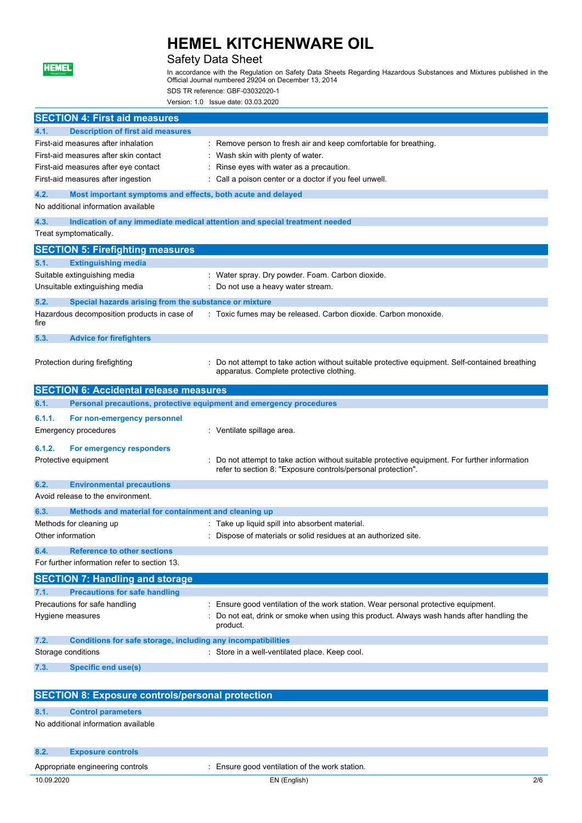

## Safety Data Sheet

In accordance with the Regulation on Safety Data Sheets Regarding Hazardous Substances and Mixtures published in the Official Journal numbered 29204 on December 13, 2014 SDS TR reference: GBF-03032020-1

Version: 1.0 Issue date: 03.03.2020

| <b>SECTION 4: First aid measures</b>                                 |                                                                                                                                                                |     |
|----------------------------------------------------------------------|----------------------------------------------------------------------------------------------------------------------------------------------------------------|-----|
| <b>Description of first aid measures</b><br>4.1.                     |                                                                                                                                                                |     |
| First-aid measures after inhalation                                  | : Remove person to fresh air and keep comfortable for breathing.                                                                                               |     |
| First-aid measures after skin contact                                | Wash skin with plenty of water.                                                                                                                                |     |
| First-aid measures after eye contact                                 | Rinse eyes with water as a precaution.                                                                                                                         |     |
| First-aid measures after ingestion                                   | Call a poison center or a doctor if you feel unwell.                                                                                                           |     |
| 4.2.<br>Most important symptoms and effects, both acute and delayed  |                                                                                                                                                                |     |
| No additional information available                                  |                                                                                                                                                                |     |
| 4.3.                                                                 | Indication of any immediate medical attention and special treatment needed                                                                                     |     |
| Treat symptomatically.                                               |                                                                                                                                                                |     |
| <b>SECTION 5: Firefighting measures</b>                              |                                                                                                                                                                |     |
| <b>Extinguishing media</b><br>5.1.                                   |                                                                                                                                                                |     |
| Suitable extinguishing media                                         | : Water spray. Dry powder. Foam. Carbon dioxide.                                                                                                               |     |
| Unsuitable extinguishing media                                       | Do not use a heavy water stream.                                                                                                                               |     |
| 5.2.<br>Special hazards arising from the substance or mixture        |                                                                                                                                                                |     |
| Hazardous decomposition products in case of<br>fire                  | : Toxic fumes may be released. Carbon dioxide. Carbon monoxide.                                                                                                |     |
|                                                                      |                                                                                                                                                                |     |
| 5.3.<br><b>Advice for firefighters</b>                               |                                                                                                                                                                |     |
| Protection during firefighting                                       | : Do not attempt to take action without suitable protective equipment. Self-contained breathing                                                                |     |
|                                                                      | apparatus. Complete protective clothing.                                                                                                                       |     |
| <b>SECTION 6: Accidental release measures</b>                        |                                                                                                                                                                |     |
| 6.1.                                                                 | Personal precautions, protective equipment and emergency procedures                                                                                            |     |
| 6.1.1.                                                               |                                                                                                                                                                |     |
| For non-emergency personnel<br><b>Emergency procedures</b>           | : Ventilate spillage area.                                                                                                                                     |     |
|                                                                      |                                                                                                                                                                |     |
| 6.1.2.<br>For emergency responders                                   |                                                                                                                                                                |     |
| Protective equipment                                                 | : Do not attempt to take action without suitable protective equipment. For further information<br>refer to section 8: "Exposure controls/personal protection". |     |
| 6.2.<br><b>Environmental precautions</b>                             |                                                                                                                                                                |     |
| Avoid release to the environment.                                    |                                                                                                                                                                |     |
| 6.3.<br>Methods and material for containment and cleaning up         |                                                                                                                                                                |     |
| Methods for cleaning up                                              | : Take up liquid spill into absorbent material.                                                                                                                |     |
| Other information                                                    | : Dispose of materials or solid residues at an authorized site.                                                                                                |     |
| 6.4<br><b>Reference to other sections</b>                            |                                                                                                                                                                |     |
| For further information refer to section 13.                         |                                                                                                                                                                |     |
| <b>SECTION 7: Handling and storage</b>                               |                                                                                                                                                                |     |
| 7.1.<br><b>Precautions for safe handling</b>                         |                                                                                                                                                                |     |
| Precautions for safe handling                                        | Ensure good ventilation of the work station. Wear personal protective equipment.                                                                               |     |
| Hygiene measures                                                     | Do not eat, drink or smoke when using this product. Always wash hands after handling the                                                                       |     |
|                                                                      | product.                                                                                                                                                       |     |
| 7.2.<br>Conditions for safe storage, including any incompatibilities |                                                                                                                                                                |     |
| Storage conditions                                                   | : Store in a well-ventilated place. Keep cool.                                                                                                                 |     |
| 7.3.<br><b>Specific end use(s)</b>                                   |                                                                                                                                                                |     |
|                                                                      |                                                                                                                                                                |     |
| <b>SECTION 8: Exposure controls/personal protection</b>              |                                                                                                                                                                |     |
| 8.1.<br><b>Control parameters</b>                                    |                                                                                                                                                                |     |
| No additional information available                                  |                                                                                                                                                                |     |
|                                                                      |                                                                                                                                                                |     |
| 8.2.<br><b>Exposure controls</b>                                     |                                                                                                                                                                |     |
| Appropriate engineering controls                                     | : Ensure good ventilation of the work station.                                                                                                                 |     |
| 10.09.2020                                                           | EN (English)                                                                                                                                                   | 2/6 |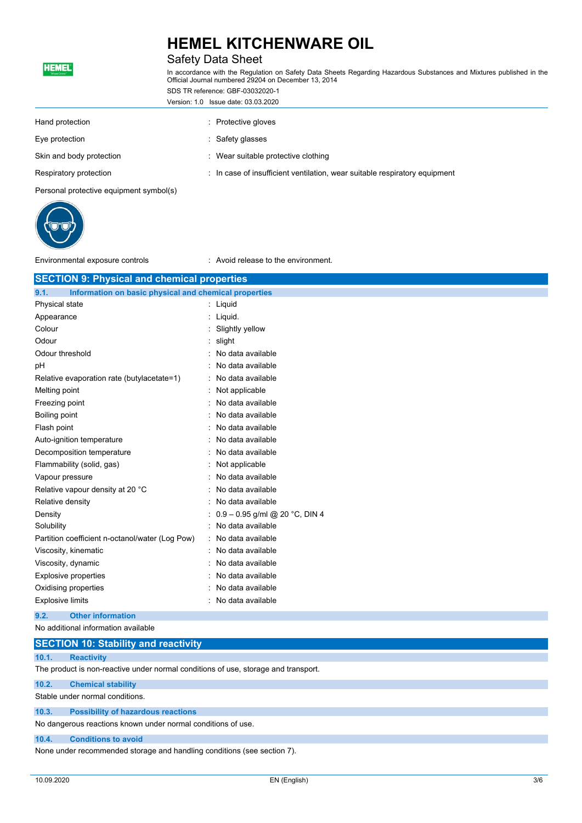## **HEMEL KITCHENWARE OIL** Safety Data Sheet

| <b>HEMEL</b><br>"Ahşap Dostu"           | In accordance with the Regulation on Safety Data Sheets Regarding Hazardous Substances and Mixtures published in the<br>Official Journal numbered 29204 on December 13, 2014 |  |  |  |
|-----------------------------------------|------------------------------------------------------------------------------------------------------------------------------------------------------------------------------|--|--|--|
|                                         | SDS TR reference: GBF-03032020-1                                                                                                                                             |  |  |  |
|                                         | Version: 1.0 Issue date: 03.03.2020                                                                                                                                          |  |  |  |
| Hand protection                         | : Protective gloves                                                                                                                                                          |  |  |  |
| Eye protection                          | : Safety glasses                                                                                                                                                             |  |  |  |
| Skin and body protection                | : Wear suitable protective clothing                                                                                                                                          |  |  |  |
| Respiratory protection                  | : In case of insufficient ventilation, wear suitable respiratory equipment                                                                                                   |  |  |  |
| Personal protective equipment symbol(s) |                                                                                                                                                                              |  |  |  |
|                                         |                                                                                                                                                                              |  |  |  |



Environmental exposure controls : Avoid release to the environment.

| <b>SECTION 9: Physical and chemical properties</b>                                 |                                                       |  |  |  |  |
|------------------------------------------------------------------------------------|-------------------------------------------------------|--|--|--|--|
| 9.1.                                                                               | Information on basic physical and chemical properties |  |  |  |  |
| Physical state<br>Liquid                                                           |                                                       |  |  |  |  |
| Appearance                                                                         | Liquid.                                               |  |  |  |  |
| Colour                                                                             | Slightly yellow                                       |  |  |  |  |
| Odour                                                                              | slight                                                |  |  |  |  |
| Odour threshold                                                                    | No data available                                     |  |  |  |  |
| рH                                                                                 | No data available                                     |  |  |  |  |
| Relative evaporation rate (butylacetate=1)                                         | No data available                                     |  |  |  |  |
| Melting point                                                                      | Not applicable                                        |  |  |  |  |
| Freezing point                                                                     | No data available                                     |  |  |  |  |
| Boiling point                                                                      | No data available                                     |  |  |  |  |
| Flash point                                                                        | No data available                                     |  |  |  |  |
| Auto-ignition temperature                                                          | No data available                                     |  |  |  |  |
| Decomposition temperature                                                          | No data available                                     |  |  |  |  |
| Flammability (solid, gas)                                                          | Not applicable                                        |  |  |  |  |
| Vapour pressure                                                                    | No data available                                     |  |  |  |  |
| Relative vapour density at 20 °C                                                   | No data available                                     |  |  |  |  |
| Relative density                                                                   | No data available                                     |  |  |  |  |
| Density                                                                            | 0.9 - 0.95 g/ml @ 20 °C, DIN 4                        |  |  |  |  |
| Solubility                                                                         | No data available                                     |  |  |  |  |
| Partition coefficient n-octanol/water (Log Pow)                                    | No data available                                     |  |  |  |  |
| Viscosity, kinematic                                                               | No data available                                     |  |  |  |  |
| Viscosity, dynamic                                                                 | No data available                                     |  |  |  |  |
| <b>Explosive properties</b>                                                        | No data available                                     |  |  |  |  |
| Oxidising properties                                                               | No data available                                     |  |  |  |  |
| <b>Explosive limits</b>                                                            | No data available                                     |  |  |  |  |
| 9.2.<br><b>Other information</b>                                                   |                                                       |  |  |  |  |
| No additional information available                                                |                                                       |  |  |  |  |
| <b>SECTION 10: Stability and reactivity</b>                                        |                                                       |  |  |  |  |
| 10.1.<br><b>Reactivity</b>                                                         |                                                       |  |  |  |  |
| The product is non-reactive under normal conditions of use, storage and transport. |                                                       |  |  |  |  |
| 10.2.<br><b>Chemical stability</b>                                                 |                                                       |  |  |  |  |
| Stable under normal conditions.                                                    |                                                       |  |  |  |  |
| 10.3.<br><b>Possibility of hazardous reactions</b>                                 |                                                       |  |  |  |  |
| No dangerous reactions known under normal conditions of use.                       |                                                       |  |  |  |  |

#### **10.4. Conditions to avoid**

None under recommended storage and handling conditions (see section 7).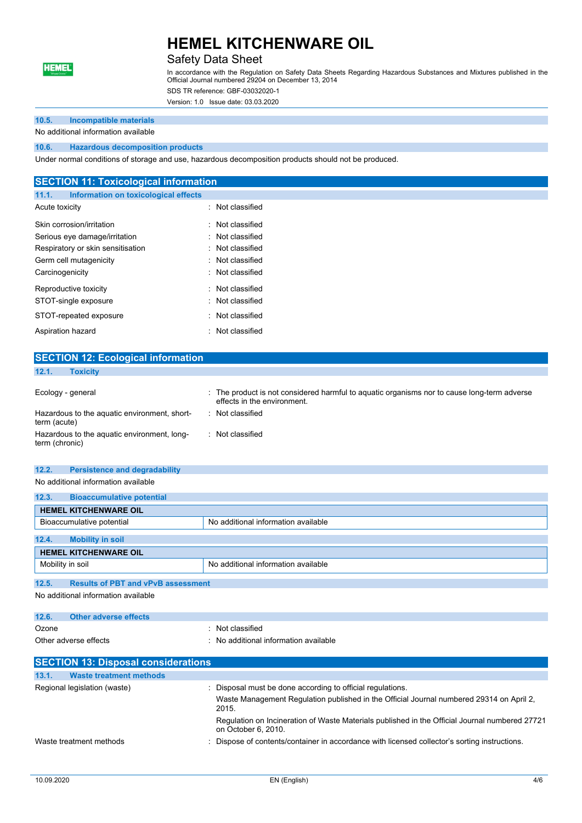

### Safety Data Sheet

In accordance with the Regulation on Safety Data Sheets Regarding Hazardous Substances and Mixtures published in the Official Journal numbered 29204 on December 13, 2014

SDS TR reference: GBF-03032020-1

Version: 1.0 Issue date: 03.03.2020

### **10.5. Incompatible materials**

No additional information available

#### **10.6. Hazardous decomposition products**

Under normal conditions of storage and use, hazardous decomposition products should not be produced.

| <b>SECTION 11: Toxicological information</b>  |                  |  |  |
|-----------------------------------------------|------------------|--|--|
| Information on toxicological effects<br>11.1. |                  |  |  |
| Acute toxicity                                | : Not classified |  |  |
| Skin corrosion/irritation                     | : Not classified |  |  |
| Serious eye damage/irritation                 | : Not classified |  |  |
| Respiratory or skin sensitisation             | : Not classified |  |  |
| Germ cell mutagenicity                        | : Not classified |  |  |
| Carcinogenicity                               | : Not classified |  |  |
| Reproductive toxicity                         | : Not classified |  |  |
| STOT-single exposure                          | : Not classified |  |  |
| STOT-repeated exposure                        | : Not classified |  |  |
| Aspiration hazard                             | : Not classified |  |  |
|                                               |                  |  |  |
| <b>SECTION 12: Ecological information</b>     |                  |  |  |

| 12.1.<br><b>Toxicity</b>                                      |                                                                                                                          |
|---------------------------------------------------------------|--------------------------------------------------------------------------------------------------------------------------|
| Ecology - general                                             | The product is not considered harmful to aquatic organisms nor to cause long-term adverse<br>effects in the environment. |
| Hazardous to the aquatic environment, short-<br>term (acute)  | Not classified                                                                                                           |
| Hazardous to the aquatic environment, long-<br>term (chronic) | Not classified                                                                                                           |

#### **12.2. Persistence and degradability**

No additional information available

| 12.3.<br><b>Bioaccumulative potential</b>                        |  |  |  |  |
|------------------------------------------------------------------|--|--|--|--|
| <b>HEMEL KITCHENWARE OIL</b>                                     |  |  |  |  |
| No additional information available<br>Bioaccumulative potential |  |  |  |  |
| 12.4.<br><b>Mobility in soil</b>                                 |  |  |  |  |
| <b>HEMEL KITCHENWARE OIL</b>                                     |  |  |  |  |
| No additional information available<br>Mobility in soil          |  |  |  |  |
|                                                                  |  |  |  |  |
| 12.5.<br><b>Results of PBT and vPvB assessment</b>               |  |  |  |  |

No additional information available

| 12.6. | <b>Other adverse effects</b>               |                                                                                                   |  |  |
|-------|--------------------------------------------|---------------------------------------------------------------------------------------------------|--|--|
| Ozone |                                            | : Not classified                                                                                  |  |  |
|       | Other adverse effects                      | : No additional information available                                                             |  |  |
|       | <b>SECTION 13: Disposal considerations</b> |                                                                                                   |  |  |
| 13.1. | <b>Waste treatment methods</b>             |                                                                                                   |  |  |
|       | Regional legislation (waste)               | Disposal must be done according to official regulations.                                          |  |  |
|       |                                            | Waste Management Regulation published in the Official Journal numbered 29314 on April 2,<br>2015. |  |  |
|       |                                            |                                                                                                   |  |  |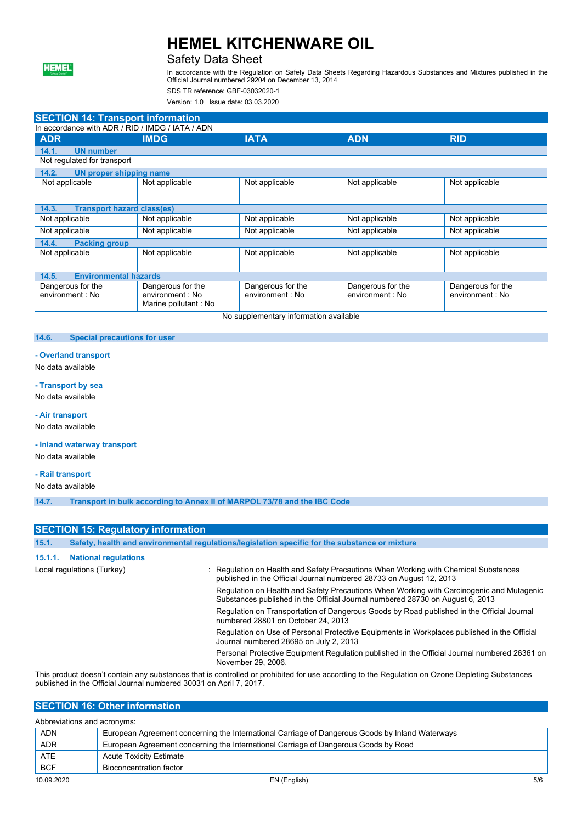

### Safety Data Sheet

In accordance with the Regulation on Safety Data Sheets Regarding Hazardous Substances and Mixtures published in the Official Journal numbered 29204 on December 13, 2014

SDS TR reference: GBF-03032020-1

Version: 1.0 Issue date: 03.03.2020

|                                                  | <b>SECTION 14: Transport information</b>                      |                                       |                                       |                                       |  |  |
|--------------------------------------------------|---------------------------------------------------------------|---------------------------------------|---------------------------------------|---------------------------------------|--|--|
| In accordance with ADR / RID / IMDG / IATA / ADN |                                                               |                                       |                                       |                                       |  |  |
| <b>ADR</b>                                       | <b>IMDG</b>                                                   | <b>IATA</b>                           | <b>ADN</b>                            | <b>RID</b>                            |  |  |
| 14.1.<br><b>UN number</b>                        |                                                               |                                       |                                       |                                       |  |  |
| Not regulated for transport                      |                                                               |                                       |                                       |                                       |  |  |
| 14.2.<br><b>UN proper shipping name</b>          |                                                               |                                       |                                       |                                       |  |  |
| Not applicable                                   | Not applicable                                                | Not applicable                        | Not applicable                        | Not applicable                        |  |  |
|                                                  |                                                               |                                       |                                       |                                       |  |  |
| <b>Transport hazard class(es)</b><br>14.3.       |                                                               |                                       |                                       |                                       |  |  |
| Not applicable                                   | Not applicable                                                | Not applicable                        | Not applicable                        | Not applicable                        |  |  |
| Not applicable                                   | Not applicable                                                | Not applicable                        | Not applicable                        | Not applicable                        |  |  |
| 14.4.<br><b>Packing group</b>                    |                                                               |                                       |                                       |                                       |  |  |
| Not applicable                                   | Not applicable                                                | Not applicable                        | Not applicable                        | Not applicable                        |  |  |
| <b>Environmental hazards</b><br>14.5.            |                                                               |                                       |                                       |                                       |  |  |
| Dangerous for the<br>environment : No            | Dangerous for the<br>environment : No<br>Marine pollutant: No | Dangerous for the<br>environment : No | Dangerous for the<br>environment : No | Dangerous for the<br>environment : No |  |  |
| No supplementary information available           |                                                               |                                       |                                       |                                       |  |  |

#### **14.6. Special precautions for user**

#### **- Overland transport**

No data available

#### **- Transport by sea**

No data available

#### **- Air transport**

No data available

#### **- Inland waterway transport**

No data available

#### **- Rail transport**

No data available

**14.7. Transport in bulk according to Annex II of MARPOL 73/78 and the IBC Code**

#### **SECTION 15: Regulatory information**

| 15.1.                      |                             | Safety, health and environmental regulations/legislation specific for the substance or mixture                                                                            |
|----------------------------|-----------------------------|---------------------------------------------------------------------------------------------------------------------------------------------------------------------------|
| 15.1.1.                    | <b>National regulations</b> |                                                                                                                                                                           |
| Local regulations (Turkey) |                             | : Regulation on Health and Safety Precautions When Working with Chemical Substances<br>published in the Official Journal numbered 28733 on August 12, 2013                |
|                            |                             | Regulation on Health and Safety Precautions When Working with Carcinogenic and Mutagenic<br>Substances published in the Official Journal numbered 28730 on August 6, 2013 |
|                            |                             | Regulation on Transportation of Dangerous Goods by Road published in the Official Journal<br>numbered 28801 on October 24, 2013                                           |
|                            |                             | Regulation on Use of Personal Protective Equipments in Workplaces published in the Official<br>Journal numbered 28695 on July 2, 2013                                     |
|                            |                             | Personal Protective Equipment Regulation published in the Official Journal numbered 26361 on<br>November 29, 2006.                                                        |
|                            |                             |                                                                                                                                                                           |

This product doesn't contain any substances that is controlled or prohibited for use according to the Regulation on Ozone Depleting Substances published in the Official Journal numbered 30031 on April 7, 2017.

### **SECTION 16: Other information**

| Abbreviations and acronyms:                                                                     |  |  |  |
|-------------------------------------------------------------------------------------------------|--|--|--|
| European Agreement concerning the International Carriage of Dangerous Goods by Inland Waterways |  |  |  |
| European Agreement concerning the International Carriage of Dangerous Goods by Road             |  |  |  |
| <b>Acute Toxicity Estimate</b>                                                                  |  |  |  |
| Bioconcentration factor                                                                         |  |  |  |
|                                                                                                 |  |  |  |